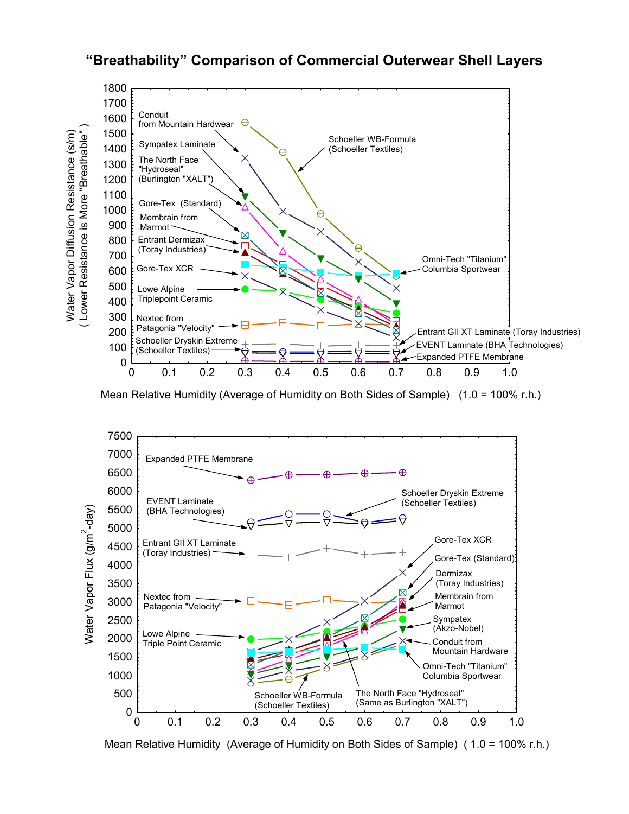## **"Breathability" Comparison of Commercial Outerwear Shell Layers**



Mean Relative Humidity (Average of Humidity on Both Sides of Sample) (1.0 = 100% r.h.)



Mean Relative Humidity (Average of Humidity on Both Sides of Sample) ( 1.0 = 100% r.h.)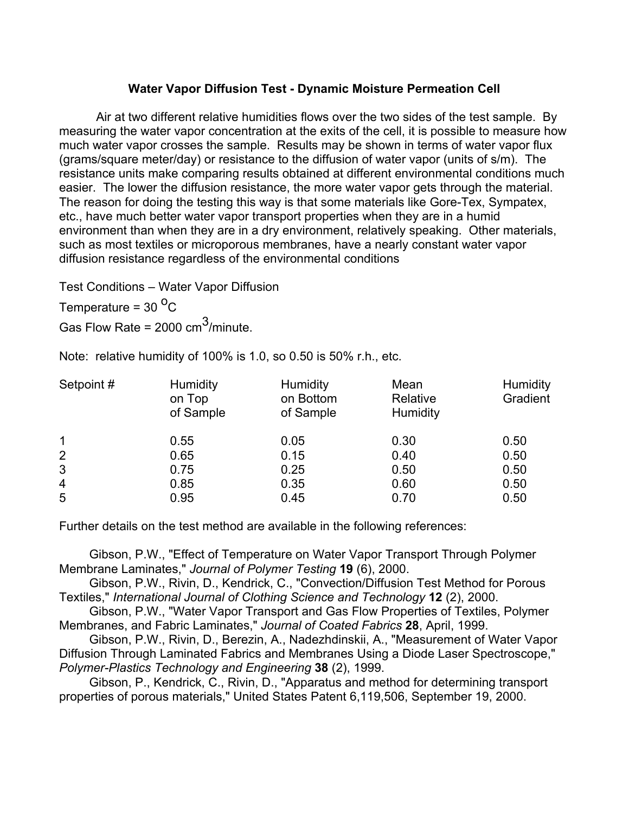## **Water Vapor Diffusion Test - Dynamic Moisture Permeation Cell**

Air at two different relative humidities flows over the two sides of the test sample. By measuring the water vapor concentration at the exits of the cell, it is possible to measure how much water vapor crosses the sample. Results may be shown in terms of water vapor flux (grams/square meter/day) or resistance to the diffusion of water vapor (units of s/m). The resistance units make comparing results obtained at different environmental conditions much easier. The lower the diffusion resistance, the more water vapor gets through the material. The reason for doing the testing this way is that some materials like Gore-Tex, Sympatex, etc., have much better water vapor transport properties when they are in a humid environment than when they are in a dry environment, relatively speaking. Other materials, such as most textiles or microporous membranes, have a nearly constant water vapor diffusion resistance regardless of the environmental conditions

Test Conditions – Water Vapor Diffusion

Temperature =  $30^{\circ}$ C

Gas Flow Rate =  $2000 \text{ cm}^3/\text{minute}$ .

Note: relative humidity of 100% is 1.0, so 0.50 is 50% r.h., etc.

| Setpoint#      | <b>Humidity</b><br>on Top<br>of Sample | <b>Humidity</b><br>on Bottom<br>of Sample | Mean<br>Relative<br>Humidity | <b>Humidity</b><br>Gradient |
|----------------|----------------------------------------|-------------------------------------------|------------------------------|-----------------------------|
| 1              | 0.55                                   | 0.05                                      | 0.30                         | 0.50                        |
| $\overline{2}$ | 0.65                                   | 0.15                                      | 0.40                         | 0.50                        |
| 3              | 0.75                                   | 0.25                                      | 0.50                         | 0.50                        |
| 4              | 0.85                                   | 0.35                                      | 0.60                         | 0.50                        |
| 5              | 0.95                                   | 0.45                                      | 0.70                         | 0.50                        |

Further details on the test method are available in the following references:

Gibson, P.W., "Effect of Temperature on Water Vapor Transport Through Polymer Membrane Laminates," *Journal of Polymer Testing* **19** (6), 2000.

Gibson, P.W., Rivin, D., Kendrick, C., "Convection/Diffusion Test Method for Porous Textiles," *International Journal of Clothing Science and Technology* **12** (2), 2000.

Gibson, P.W., "Water Vapor Transport and Gas Flow Properties of Textiles, Polymer Membranes, and Fabric Laminates," *Journal of Coated Fabrics* **28**, April, 1999.

Gibson, P.W., Rivin, D., Berezin, A., Nadezhdinskii, A., "Measurement of Water Vapor Diffusion Through Laminated Fabrics and Membranes Using a Diode Laser Spectroscope," *Polymer-Plastics Technology and Engineering* **38** (2), 1999.

 Gibson, P., Kendrick, C., Rivin, D., "Apparatus and method for determining transport properties of porous materials," United States Patent 6,119,506, September 19, 2000.